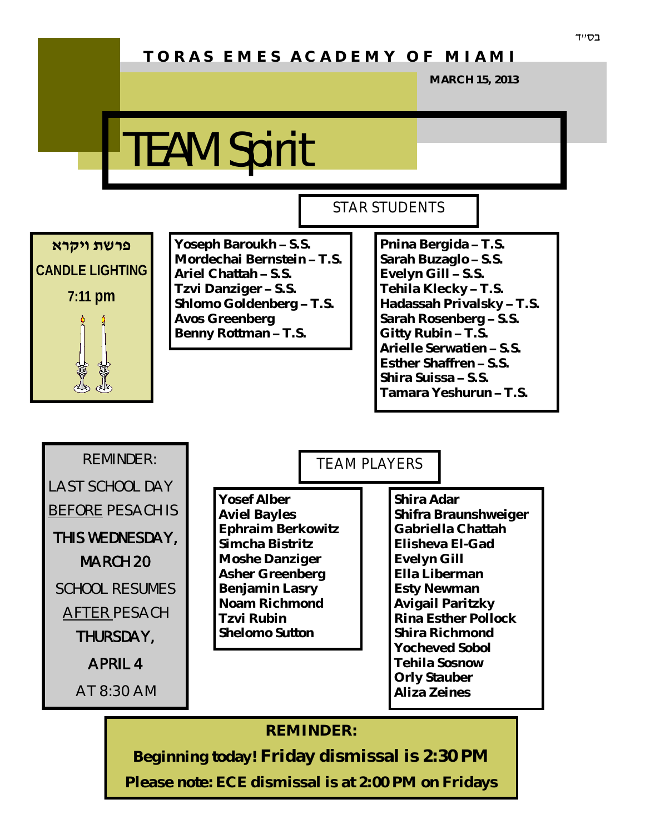## **T O R A S E M E S A C A D E M Y O F M I A M I**

**MARCH 15, 2013**

## TEAM Spirit



**Yoseph Baroukh – S.S. Mordechai Bernstein – T.S. Ariel Chattah – S.S. Tzvi Danziger – S.S. Shlomo Goldenberg – T.S. Avos Greenberg Benny Rottman – T.S.**

## STAR STUDENTS

**Pnina Bergida – T.S. Sarah Buzaglo – S.S. Evelyn Gill – S.S. Tehila Klecky – T.S. Hadassah Privalsky – T.S. Sarah Rosenberg – S.S. Gitty Rubin – T.S. Arielle Serwatien – S.S. Esther Shaffren – S.S. Shira Suissa – S.S. Tamara Yeshurun – T.S.**



#### **REMINDER:**

**Beginning today! Friday dismissal is 2:30 PM Please note: ECE dismissal is at 2:00 PM on Fridays**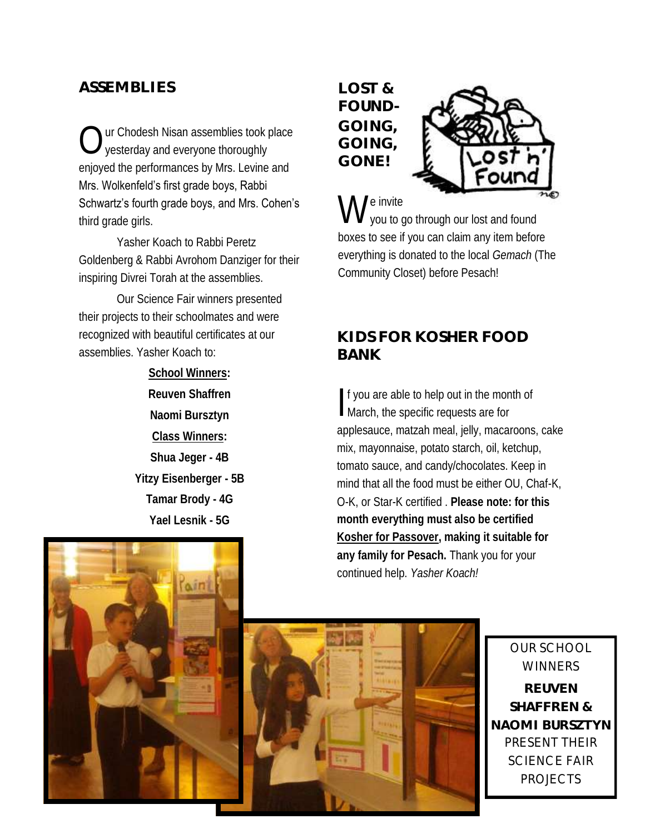### **ASSEMBLIES**

 $\bigcirc$ ur Chodesh Nisan assemblies took place yesterday and everyone thoroughly enjoyed the performances by Mrs. Levine and Mrs. Wolkenfeld's first grade boys, Rabbi Schwartz's fourth grade boys, and Mrs. Cohen's third grade girls.

Yasher Koach to Rabbi Peretz Goldenberg & Rabbi Avrohom Danziger for their inspiring Divrei Torah at the assemblies.

Our Science Fair winners presented their projects to their schoolmates and were recognized with beautiful certificates at our assemblies. Yasher Koach to:

> **School Winners: Reuven Shaffren Naomi Bursztyn Class Winners: Shua Jeger - 4B Yitzy Eisenberger - 5B Tamar Brody - 4G**

> > **Yael Lesnik - 5G**

**LOST & FOUND-GOING, GOING, GONE!**



W e invite you to go through our lost and found boxes to see if you can claim any item before everything is donated to the local *Gemach* (The Community Closet) before Pesach!

### **KIDS FOR KOSHER FOOD BANK**

If you are able to help out in the month of<br>March, the specific requests are for March, the specific requests are for applesauce, matzah meal, jelly, macaroons, cake mix, mayonnaise, potato starch, oil, ketchup, tomato sauce, and candy/chocolates. Keep in mind that all the food must be either OU, Chaf-K, O-K, or Star-K certified . **Please note: for this month everything must also be certified Kosher for Passover, making it suitable for any family for Pesach.** Thank you for your continued help. *Yasher Koach!*





OUR SCHOOL **WINNERS REUVEN SHAFFREN & NAOMI BURSZTYN**  PRESENT THEIR SCIENCE FAIR PROJECTS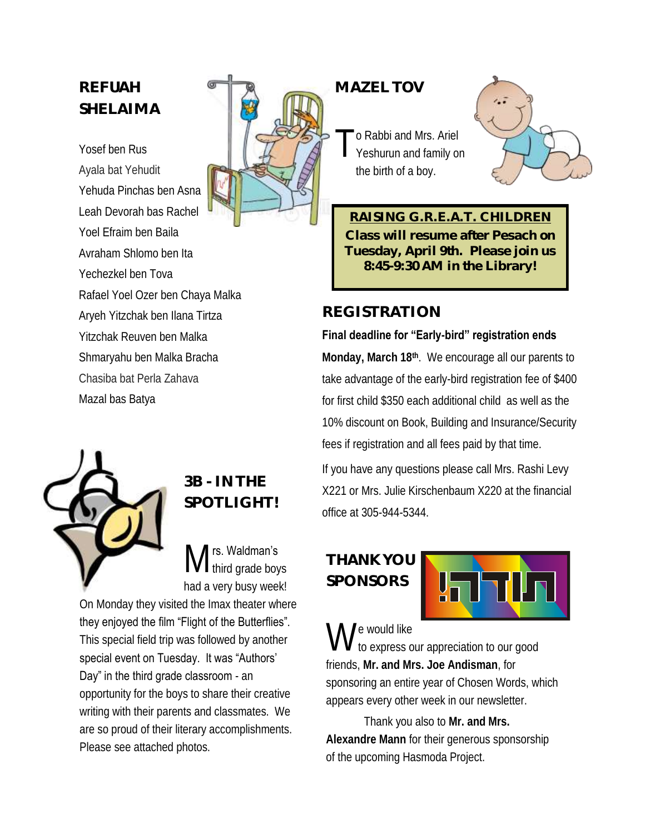## **REFUAH SHELAIMA**

Yosef ben Rus Ayala bat Yehudit Yehuda Pinchas ben Asna Leah Devorah bas Rachel Yoel Efraim ben Baila Avraham Shlomo ben Ita Yechezkel ben Tova Rafael Yoel Ozer ben Chaya Malka Aryeh Yitzchak ben Ilana Tirtza Yitzchak Reuven ben Malka Shmaryahu ben Malka Bracha Chasiba bat Perla Zahava Mazal bas Batya



### **MAZEL TOV**

T o Rabbi and Mrs. Ariel Yeshurun and family on the birth of a boy.



**RAISING G.R.E.A.T. CHILDREN Class will resume after Pesach on Tuesday, April 9th. Please join us 8:45-9:30 AM in the Library!**

### **REGISTRATION**

#### **Final deadline for "Early-bird" registration ends**

**Monday, March 18th**. We encourage all our parents to take advantage of the early-bird registration fee of \$400 for first child \$350 each additional child as well as the 10% discount on Book, Building and Insurance/Security fees if registration and all fees paid by that time.

If you have any questions please call Mrs. Rashi Levy X221 or Mrs. Julie Kirschenbaum X220 at the financial office at 305-944-5344.

## **THANK YOU SPONSORS**



W e would like

to express our appreciation to our good friends, **Mr. and Mrs. Joe Andisman**, for sponsoring an entire year of Chosen Words, which appears every other week in our newsletter.

Thank you also to **Mr. and Mrs. Alexandre Mann** for their generous sponsorship of the upcoming Hasmoda Project.



## **3B - IN THE SPOTLIGHT!**

M rs. Waldman's I third grade boys had a very busy week!

On Monday they visited the Imax theater where they enjoyed the film "Flight of the Butterflies". This special field trip was followed by another special event on Tuesday. It was "Authors' Day" in the third grade classroom - an

opportunity for the boys to share their creative writing with their parents and classmates. We are so proud of their literary accomplishments. Please see attached photos.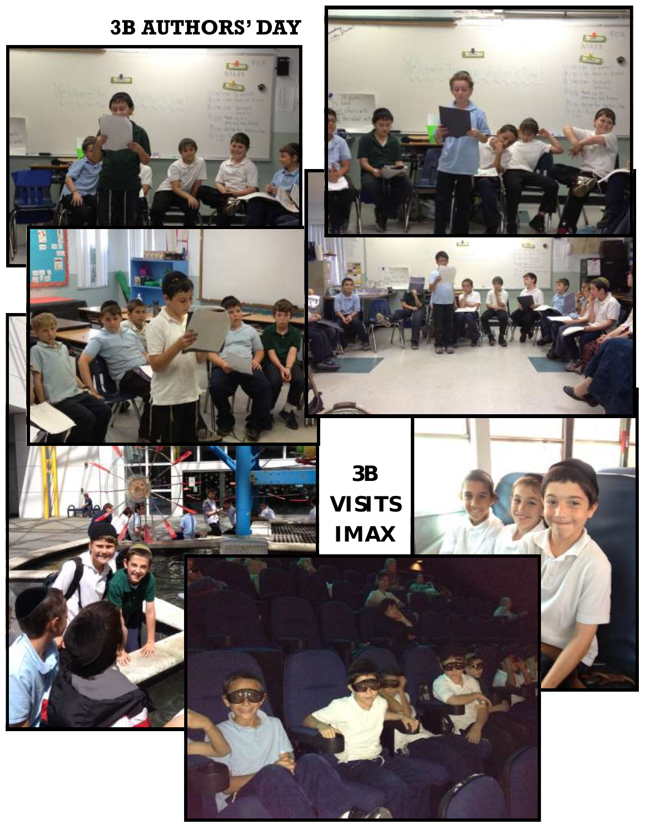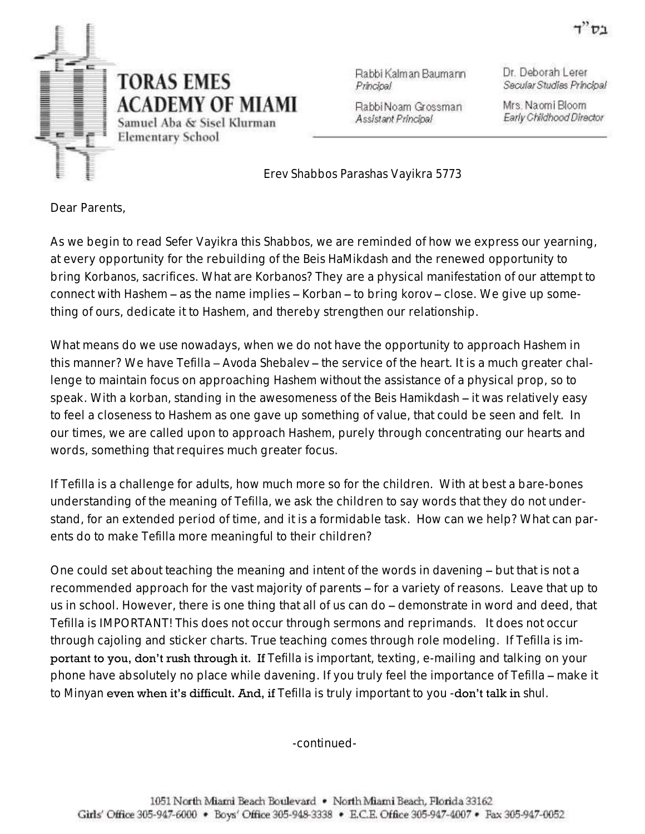

Rabbi Kalman Baumann Principal

Rabbi Noam Grossman Assistant Principal

Dr. Deborah Lerer Secular Studies Principal

Mrs. Naomi Bloom Early Childhood Director

*Erev Shabbos Parashas Vayikra 5773*

Dear Parents,

As we begin to read *Sefer Vayikra* this *Shabbos*, we are reminded of how we express our yearning, at every opportunity for the rebuilding of the *Beis HaMikdash* and the renewed opportunity to bring *Korbanos*, sacrifices. What are *Korbanos*? They are a physical manifestation of our attempt to connect with *Hashem* – as the name implies – *Korban* – to bring *korov* – close. We give up something of ours, dedicate it to *Hashem*, and thereby strengthen our relationship.

What means do we use nowadays, when we do not have the opportunity to approach *Hashem* in this manner? We have *Tefilla – Avoda Shebalev* – the service of the heart. It is a much greater challenge to maintain focus on approaching *Hashem* without the assistance of a physical prop, so to speak. With a *korban*, standing in the awesomeness of the *Beis Hamikdash* – it was relatively easy to feel a closeness to *Hashem* as one gave up something of value, that could be seen and felt. In our times, we are called upon to approach *Hashem*, purely through concentrating our hearts and words, something that requires much greater focus.

If *Tefilla* is a challenge for adults, how much more so for the children. With at best a bare-bones understanding of the meaning of *Tefilla,* we ask the children to say words that they do not understand, for an extended period of time, and it is a formidable task. How can we help? What can parents do to make *Tefilla* more meaningful to their children?

One could set about teaching the meaning and intent of the words in *davening* – but that is not a recommended approach for the vast majority of parents – for a variety of reasons. Leave that up to us in school. However, there is one thing that all of us can do – demonstrate in word and deed, that *Tefilla* is IMPORTANT! This does not occur through sermons and reprimands. It does not occur through cajoling and sticker charts. True teaching comes through role modeling. If *Tefilla* is important to you, don't rush through it. If *Tefilla* is important, texting, e-mailing and talking on your phone have absolutely no place while davening. If you truly feel the importance of *Tefilla* – make it to *Minyan* even when it's difficult. And, if *Tefilla* is truly important to you -don't talk in *shul*.

-continued-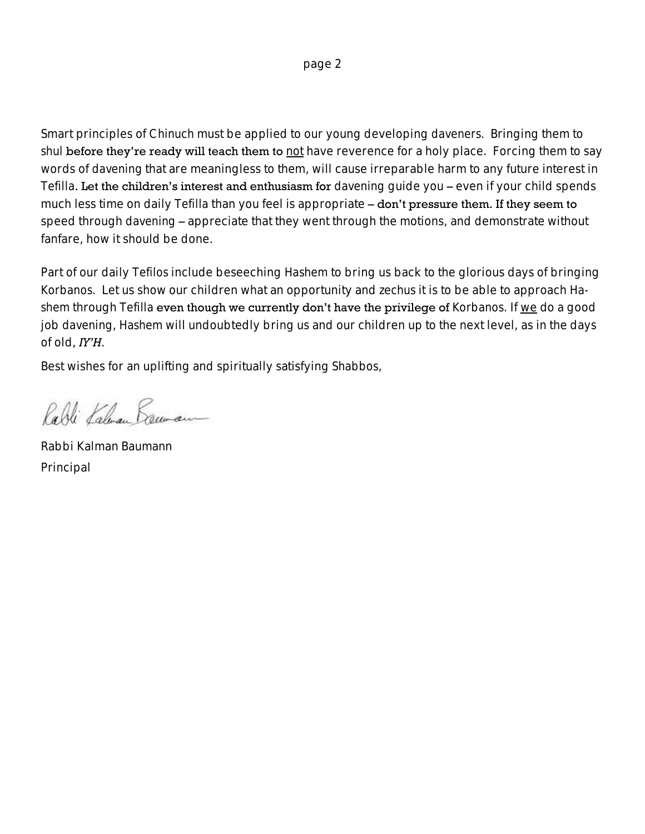Smart principles of *Chinuch* must be applied to our young developing *daveners*. Bringing them to *shul* before they're ready will teach them to not have reverence for a holy place. Forcing them to say words of *davening* that are meaningless to them, will cause irreparable harm to any future interest in *Tefilla*. Let the children's interest and enthusiasm for *davening* guide you – even if your child spends much less time on daily *Tefilla* than you feel is appropriate – don't pressure them. If they seem to speed through *davening* – appreciate that they went through the motions, and demonstrate without fanfare, how it should be done.

Part of our daily *Tefilos* include beseeching *Hashem* to bring us back to the glorious days of bringing *Korbanos*. Let us show our children what an opportunity and *zechus* it is to be able to approach *Hashem* through *Tefilla* even though we currently don't have the privilege of *Korbanos*. If we do a good job *davening*, *Hashem* will undoubtedly bring us and our children up to the next level, as in the days of old, *IY'H*.

Best wishes for an uplifting and spiritually satisfying *Shabbos*,

Rabli Kalman Baconam

Rabbi Kalman Baumann Principal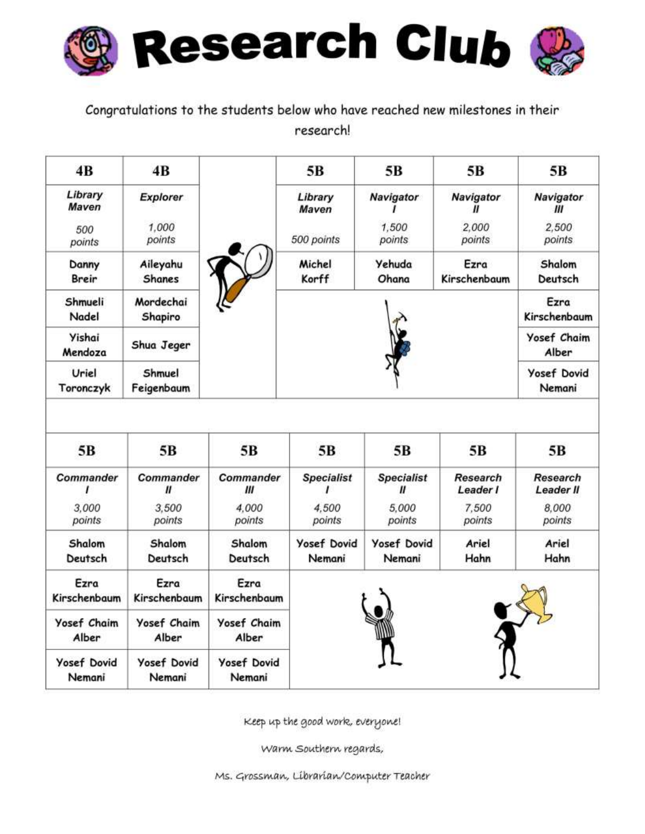

Congratulations to the students below who have reached new milestones in their research!

| 4B                           | 4B                               |                              | 5 <sub>B</sub>               | 5 <sub>B</sub>                    | 5B                          | 5B                           |
|------------------------------|----------------------------------|------------------------------|------------------------------|-----------------------------------|-----------------------------|------------------------------|
| Library<br>Maven             | Explorer                         |                              | Library<br>Maven             | <b>Navigator</b>                  | Navigator<br>11             | <b>Navigator</b><br>Ш        |
| 500<br>points                | 1,000<br>points                  |                              | 500 points                   | 1.500<br>points                   | 2.000<br>points             | 2.500<br>points              |
| Danny<br><b>Breir</b>        | Aileyahu<br><b>Shanes</b>        |                              | Michel<br>Korff              | Yehuda<br>Ohana                   | Ezra<br>Kirschenbaum        | Shalom<br>Deutsch            |
| Shmueli<br>Nadel             | Mordechai<br>Shapiro             |                              |                              |                                   |                             | Ezra<br>Kirschenbaum         |
| Yishai<br>Mendoza            | Shua Jeger                       |                              |                              |                                   |                             | <b>Yosef Chaim</b><br>Alber  |
| Uriel<br>Toronczyk           | Shmuel<br>Feigenbaum             |                              |                              |                                   |                             | <b>Yosef Dovid</b><br>Nemani |
|                              |                                  |                              |                              |                                   |                             |                              |
| 5B                           | 5B                               | 5 <sub>B</sub>               | 5 <sub>B</sub>               | 5 <sub>B</sub>                    | 5В                          | 5B                           |
| Commander                    | <b>Commander</b><br>$\mathbf{u}$ | Commander<br>Ш               | <b>Specialist</b>            | <b>Specialist</b><br>$\mathbf{u}$ | <b>Research</b><br>Leader I | <b>Research</b><br>Leader II |
| 3.000<br>points              | 3,500<br>points                  | 4.000<br>points              | 4.500<br>points              | 5.000<br>points                   | 7,500<br>points             | 8,000<br>points              |
| Shalom<br>Deutsch            | Shalom<br>Deutsch                | Shalom<br>Deutsch            | <b>Yosef Dovid</b><br>Nemani | <b>Yosef Dovid</b><br>Nemani      | Ariel<br>Hahn               | Ariel<br>Hahn                |
| Ezra<br>Kirschenbaum         | Ezra<br>Kirschenbaum             | Ezra<br>Kirschenbaum         |                              |                                   |                             |                              |
| Yosef Chaim<br>Alber         | <b>Yosef Chaim</b><br>Alber      | <b>Yosef Chaim</b><br>Alber  |                              |                                   |                             |                              |
| <b>Yosef Dovid</b><br>Nemani | <b>Yosef Dovid</b><br>Nemani     | <b>Yosef Dovid</b><br>Nemani |                              |                                   |                             |                              |

Keep up the good work, everyone!

Warm Southern regards,

Ms. Grossman, Librarian/Computer Teacher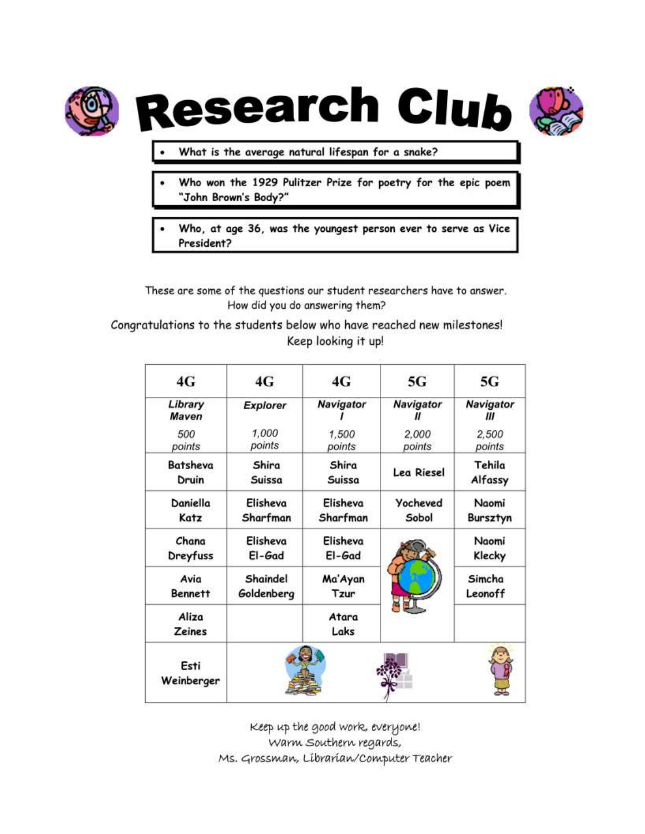

**Research Club** 



- What is the average natural lifespan for a snake?
- Who won the 1929 Pulitzer Prize for poetry for the epic poem "John Brown's Body?"
- Who, at age 36, was the youngest person ever to serve as Vice President?

These are some of the questions our student researchers have to answer. How did you do answering them?

Congratulations to the students below who have reached new milestones! Keep looking it up!

| 4G                     | 4G              | 4G               | 5G              | 5G             |
|------------------------|-----------------|------------------|-----------------|----------------|
| Library<br>Maven       | <b>Explorer</b> | <b>Navigator</b> | Navigator       | Navigator<br>Ш |
| 500                    | 1,000           | 1,500            | 2,000           | 2,500          |
| points                 | points          | points           | points          | points         |
| Batsheva               | Shira           | Shira            | Lea Riesel      | Tehila         |
| Druin                  | Suissa          | Suissa           |                 | Alfassy        |
| Daniella               | Elisheva        | Elisheva         | <b>Yocheved</b> | Naomi          |
| Katz                   | Sharfman        | Sharfman         | Sobol           | Bursztyn       |
| Chana                  | Elisheva        | Elisheva         |                 | Naomi          |
| Dreyfuss               | El-Gad          | El-Gad           |                 | Klecky         |
| Avia                   | Shaindel        | Ma'Ayan          |                 | Simcha         |
| <b>Bennett</b>         | Goldenberg      | Tzur             |                 | Leonoff        |
| Aliza<br><b>Zeines</b> |                 | Atara<br>Laks    |                 |                |
| Esti<br>Weinberger     |                 |                  |                 |                |

Keep up the good work, everyone! Warm Southern regards, Ms. Grossman, Librarian/Computer Teacher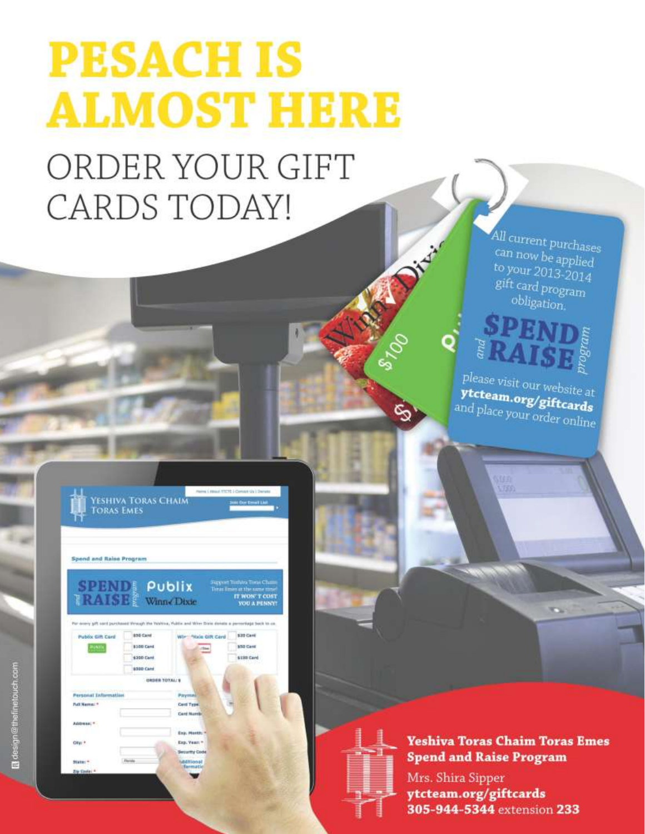# **PESACH IS ALMOST HERE**

## ORDER YOUR GIFT CARDS TODAY!

All current purchases can now be applied to your 2013-2014 gift card program obligation.



Div

জ

please visit our website at ytcteam.org/giftcards and place your order online.

| Spend and Raise Program  |            |                      |                                                                                                                   |
|--------------------------|------------|----------------------|-------------------------------------------------------------------------------------------------------------------|
| <b>SPENDE Publix</b>     |            |                      | Juppert Testates Torse Chan<br>Tonas limen at the same time                                                       |
| <b>RAISE:</b> Winn Dixie |            |                      | IT WON'T COST<br><b>YOU A PENNY</b>                                                                               |
| Public Gift Card         | 855 Card   | Wir: "Hole Gift Card | For every set cont purchased Wrough the Wahina, Vuldo: and Winn Date density a permittage back to co<br>\$30 Card |
| AUNTIK                   | \$100 Card | itte                 | \$50 Card                                                                                                         |
|                          | \$200 Cant |                      | \$190 Card                                                                                                        |

**YESHIVA TORAS CHAIM** 

**Yeshiva Toras Chaim Toras Emes Spend and Raise Program** Mrs. Shira Sipper ytcteam.org/giftcards

305-944-5344 extension 233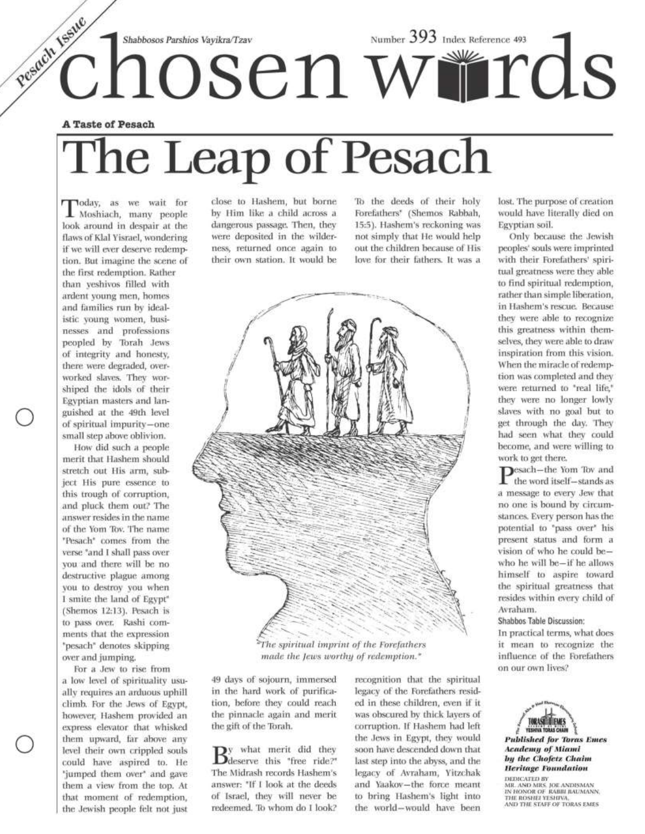# Pesach Issue  $\tilde{c}$ habbosos Parshios Vayikra $\tau$ zav<br> $\tilde{c}$ hnabbosos Parshios Vayikra $\tau$ zav

#### **A Taste of Pesach**

# The Leap of Pesach

Today, as we wait for Moshiach, many people look around in despair at the flaws of Klal Yisrael, wondering if we will ever deserve redemption. But imagine the scene of the first redemption. Rather than yeshivos filled with ardent young men, homes and families run by idealistic young women, businesses and professions peopled by Torah Jews of integrity and honesty, there were degraded, overworked slaves. They worshiped the idols of their Egyptian masters and languished at the 49th level of spiritual impurity-one small step above oblivion.

How did such a people merit that Hashem should stretch out His arm, subject His pure essence to this trough of corruption, and pluck them out? The answer resides in the name of the Yom Tov. The name "Pesach" comes from the verse 'and I shall pass over you and there will be no destructive plague among you to destroy you when I smite the land of Egypt" (Shemos 12:13). Pesach is to pass over. Rashi comments that the expression "pesach" denotes skipping over and jumping.

For a Jew to rise from a low level of spirituality usually requires an arduous uphill climb. For the Jews of Egypt, however, Hashem provided an express elevator that whisked them upward, far above any level their own crippled souls could have aspired to. He 'jumped them over' and gave them a view from the top. At that moment of redemption, the Jewish people felt not just

close to Hashem, but borne by Him like a child across a dangerous passage. Then, they were deposited in the wilderness, returned once again to their own station. It would be

To the deeds of their holy Forefathers<sup>\*</sup> (Shemos Rabbah, 15:5). Hashem's reckoning was not simply that He would help out the children because of His love for their fathers. It was a



The spiritual imprint of the Forefathers made the Jews worthy of redemption."

49 days of sojourn, immersed in the hard work of purification, before they could reach the pinnacle again and merit the gift of the Torah.

 $B_{\text{deserve}}$  this "free ride?" The Midrash records Hashem's answer: "If I look at the deeds of Israel, they will never be redeemed. To whom do I look?

recognition that the spiritual legacy of the Forefathers resided in these children, even if it was obscured by thick layers of corruption. If Hashem had left the Jews in Egypt, they would soon have descended down that last step into the abyss, and the legacy of Avraham, Yitzchak and Yaakov-the force meant to bring Hashem's light into the world-would have been

lost. The purpose of creation would have literally died on Egyptian soil.

Only because the Jewish peoples' souls were imprinted with their Forefathers' spiritual greatness were they able to find spiritual redemption, rather than simple liberation, in Hashem's rescue. Because they were able to recognize this greatness within themselves, they were able to draw inspiration from this vision. When the miracle of redemption was completed and they were returned to "real life," they were no longer lowly slaves with no goal but to get through the day. They had seen what they could become, and were willing to work to get there.

 $\mathbf{P}^{\text{esach--the Yom}$  Tov and<br>the word itself—stands as a message to every Jew that no one is bound by circumstances. Every person has the potential to "pass over" his present status and form a vision of who he could bewho he will be-if he allows himself to aspire toward the spiritual greatness that resides within every child of Avraham.

Shabbos Table Discussion:

In practical terms, what does it mean to recognize the influence of the Forefathers on our own lives?



**Published for Toras Emes Academy of Miami** by the Chofetz Chaim **Heritage Foundation** 

DEDICATED BY DEDICATED BY<br>MR. AND MRS. JOE ANDISMAN<br>IN HONOR OF RABBI BAUMANN,<br>THE ROSHEI YESHIVA,<br>AND THE STAFF OF TORAS EMES